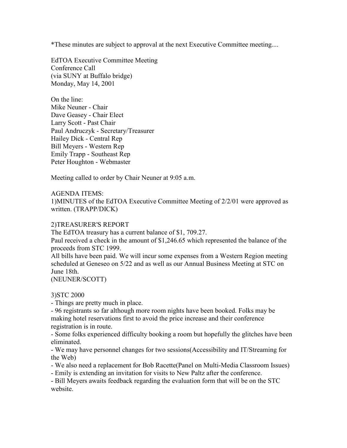\*These minutes are subject to approval at the next Executive Committee meeting....

EdTOA Executive Committee Meeting Conference Call (via SUNY at Buffalo bridge) Monday, May 14, 2001

On the line: Mike Neuner - Chair Dave Geasey - Chair Elect Larry Scott - Past Chair Paul Andruczyk - Secretary/Treasurer Hailey Dick - Central Rep Bill Meyers - Western Rep Emily Trapp - Southeast Rep Peter Houghton - Webmaster

Meeting called to order by Chair Neuner at 9:05 a.m.

## AGENDA ITEMS:

1)MINUTES of the EdTOA Executive Committee Meeting of 2/2/01 were approved as written. (TRAPP/DICK)

## 2)TREASURER'S REPORT

The EdTOA treasury has a current balance of \$1, 709.27.

Paul received a check in the amount of \$1,246.65 which represented the balance of the proceeds from STC 1999.

All bills have been paid. We will incur some expenses from a Western Region meeting scheduled at Geneseo on 5/22 and as well as our Annual Business Meeting at STC on June 18th.

(NEUNER/SCOTT)

## 3)STC 2000

- Things are pretty much in place.

- 96 registrants so far although more room nights have been booked. Folks may be making hotel reservations first to avoid the price increase and their conference registration is in route.

- Some folks experienced difficulty booking a room but hopefully the glitches have been eliminated.

- We may have personnel changes for two sessions(Accessibility and IT/Streaming for the Web)

- We also need a replacement for Bob Racette(Panel on Multi-Media Classroom Issues)

- Emily is extending an invitation for visits to New Paltz after the conference.

- Bill Meyers awaits feedback regarding the evaluation form that will be on the STC website.